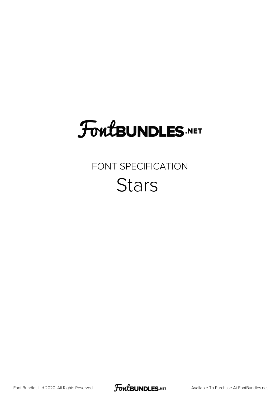## **FoutBUNDLES.NET**

### FONT SPECIFICATION **Stars**

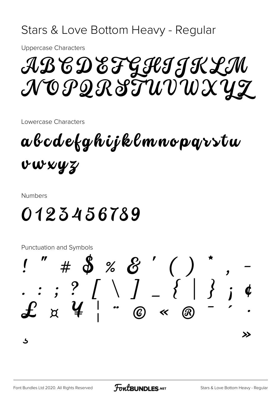### Stars & Love Bottom Heavy - Regular

**Uppercase Characters** 

AB CD EF GIIJKLM NOPQRITUVWXYZ

Lowercase Characters

abcdefghijklmnopqvstu vwwyz

**Numbers** 

### 0123456789

Punctuation and Symbols

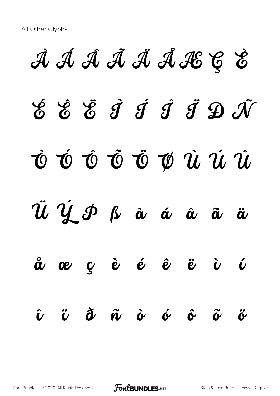# À Á Â Ã Ä Å Æ Ç È É Ê Ë Ì Í Î Ï Ð Ñ Ò Ó Ô Õ Ö Ø Ù Ú Û  $\tilde{u}$   $\dot{y}$   $\delta$   $\dot{\alpha}$   $\dot{\alpha}$   $\ddot{\alpha}$   $\ddot{\alpha}$   $\ddot{\alpha}$ å æ ç è é ê ë ì í î ï ð ñ ò ó ô õ ö

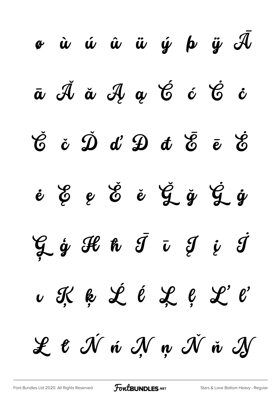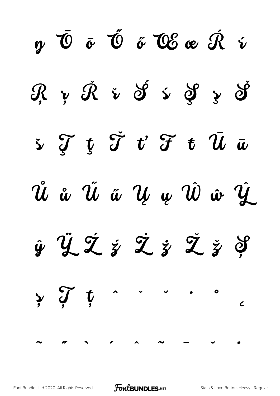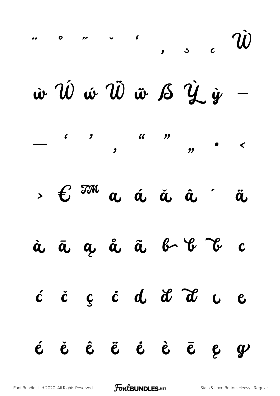| $\cdots$ or $\cdots$ $\vec{w}$                                                                                                  |  |  |  |                  |
|---------------------------------------------------------------------------------------------------------------------------------|--|--|--|------------------|
| $\dot{w} \,\hat{\mathcal{W}} \,\hat{w} \,\hat{\mathcal{W}} \,\hat{w} \,\hat{\mathcal{B}} \,\hat{\mathcal{Y}} \,\hat{y} \quad -$ |  |  |  |                  |
|                                                                                                                                 |  |  |  |                  |
| $\mathcal{E}$ $\mathcal{I}^{\mathcal{M}}$ a á ä â ä                                                                             |  |  |  |                  |
| à ā a å ã b b c                                                                                                                 |  |  |  |                  |
| c c c c d d d d u e                                                                                                             |  |  |  |                  |
| é ě ê ë ė è ē ę                                                                                                                 |  |  |  | $\boldsymbol{y}$ |

FontBUNDLES.NET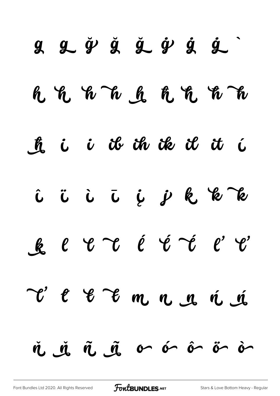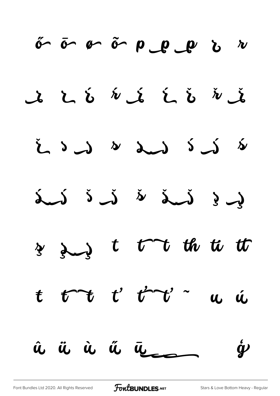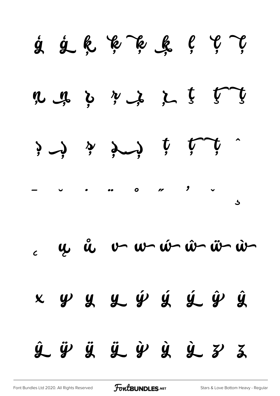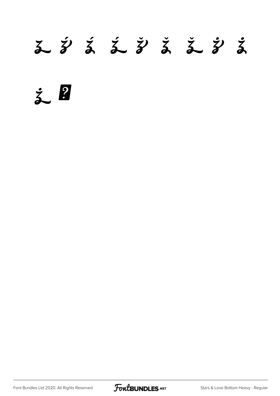### 

 $\zeta$  ?

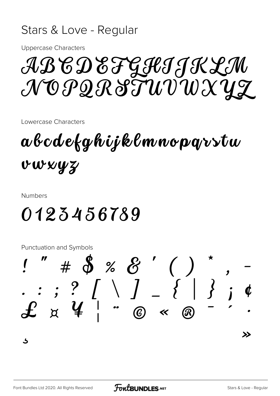#### Stars & Love - Regular

**Uppercase Characters** 

ABCDEFGICJKLM NOPQRITUVWXYZ

Lowercase Characters

abcdefghijklmnopqvstw vwwyz

**Numbers** 

### 0123456789

Punctuation and Symbols

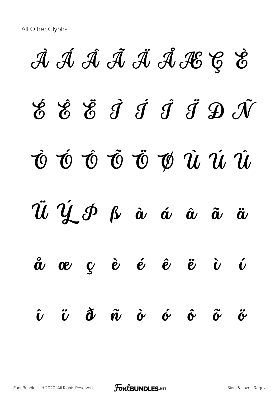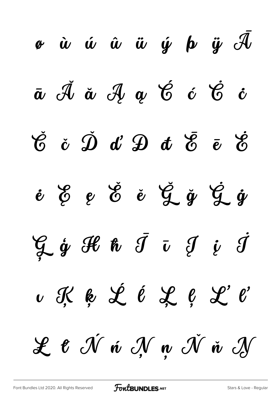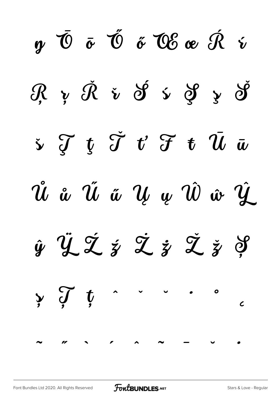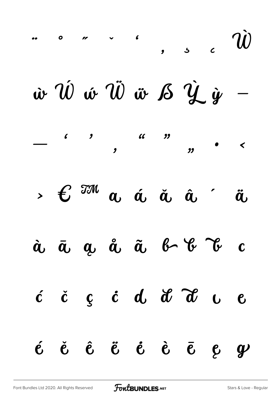| $\cdots$ or $\cdots$ , , , c $\vec{w}$                                                                                                                                                                                                                                                                                                         |  |  |  |  |
|------------------------------------------------------------------------------------------------------------------------------------------------------------------------------------------------------------------------------------------------------------------------------------------------------------------------------------------------|--|--|--|--|
| $\dot{w} \ \hat{w} \ \hat{w} \ \hat{w} \ \hat{w} \ \hat{S} \ \hat{y} \ \hat{w}$                                                                                                                                                                                                                                                                |  |  |  |  |
|                                                                                                                                                                                                                                                                                                                                                |  |  |  |  |
| $\mathcal{E}$ $\mathbb{Z}^{\mathcal{M}}$ a á ä â $\ddot{a}$ $\ddot{a}$                                                                                                                                                                                                                                                                         |  |  |  |  |
| à ā a å ã b b c                                                                                                                                                                                                                                                                                                                                |  |  |  |  |
| $\acute{c}$ $\acute{c}$ $\acute{c}$ $\acute{d}$ $\acute{d}$ $\acute{d}$ $\acute{d}$ $\acute{c}$ $\acute{d}$ $\acute{d}$ $\acute{d}$ $\acute{d}$ $\acute{d}$ $\acute{d}$ $\acute{d}$ $\acute{d}$ $\acute{d}$ $\acute{d}$ $\acute{d}$ $\acute{d}$ $\acute{d}$ $\acute{d}$ $\acute{d}$ $\acute{d}$ $\acute{d}$ $\acute{d}$ $\acute{d}$ $\acute{d$ |  |  |  |  |
| $\acute{e}$ $\acute{e}$ $\acute{e}$ $\acute{e}$ $\acute{e}$ $\acute{e}$ $\acute{e}$ $\acute{e}$ $\acute{e}$ $\acute{e}$ $\acute{e}$                                                                                                                                                                                                            |  |  |  |  |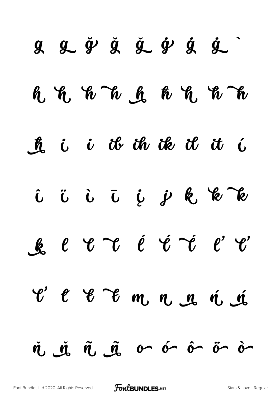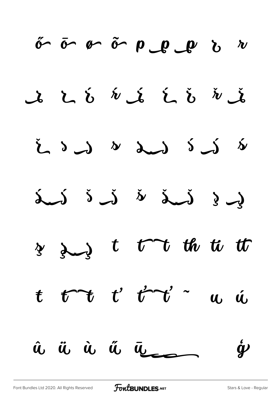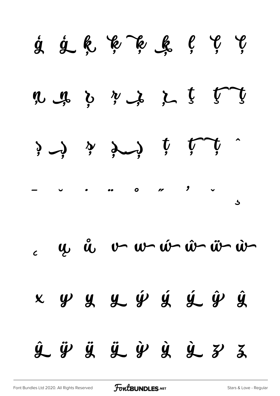